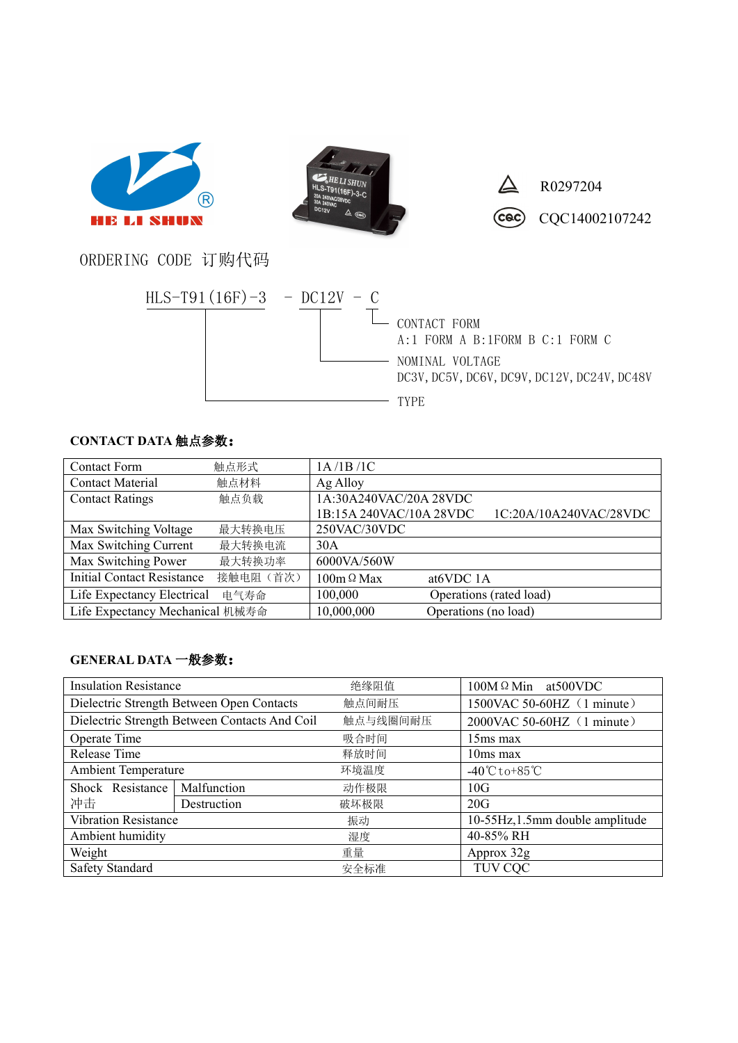





## ORDERING CODE 订购代码



## **CONTACT DATA** 触点参数:

| <b>Contact Form</b>               | 触点形式      | 1A/1B/1C                                          |
|-----------------------------------|-----------|---------------------------------------------------|
| <b>Contact Material</b>           | 触点材料      | Ag Alloy                                          |
| <b>Contact Ratings</b>            | 触点负载      | 1A:30A240VAC/20A 28VDC                            |
|                                   |           | 1B:15A 240VAC/10A 28VDC<br>1C:20A/10A240VAC/28VDC |
| Max Switching Voltage             | 最大转换电压    | 250VAC/30VDC                                      |
| Max Switching Current             | 最大转换电流    | 30A                                               |
| Max Switching Power               | 最大转换功率    | 6000VA/560W                                       |
| <b>Initial Contact Resistance</b> | 接触电阻 (首次) | $100m \Omega$ Max<br>at <sub>6</sub> VDC 1A       |
| Life Expectancy Electrical        | 电气寿命      | Operations (rated load)<br>100,000                |
| Life Expectancy Mechanical 机械寿命   |           | 10,000,000<br>Operations (no load)                |

## **GENERAL DATA** 一般参数:

| <b>Insulation Resistance</b>                  |             | 绝缘阻值     | $100M \Omega$ Min at 500 VDC        |  |
|-----------------------------------------------|-------------|----------|-------------------------------------|--|
| Dielectric Strength Between Open Contacts     |             | 触点间耐压    | 1500VAC 50-60HZ (1 minute)          |  |
| Dielectric Strength Between Contacts And Coil |             | 触点与线圈间耐压 | 2000VAC 50-60HZ (1 minute)          |  |
| Operate Time                                  |             | 吸合时间     | 15ms max                            |  |
| Release Time                                  |             | 释放时间     | 10ms max                            |  |
| <b>Ambient Temperature</b>                    |             | 环境温度     | $-40^{\circ}$ C to +85 $^{\circ}$ C |  |
| Shock Resistance                              | Malfunction | 动作极限     | 10G                                 |  |
| 冲击                                            | Destruction | 破坏极限     | 20G                                 |  |
| <b>Vibration Resistance</b>                   |             | 振动       | 10-55Hz, 1.5mm double amplitude     |  |
| Ambient humidity                              |             | 湿度       | 40-85% RH                           |  |
| Weight                                        |             | 重量       | Approx 32g                          |  |
| <b>Safety Standard</b>                        |             | 安全标准     | TUV CQC                             |  |